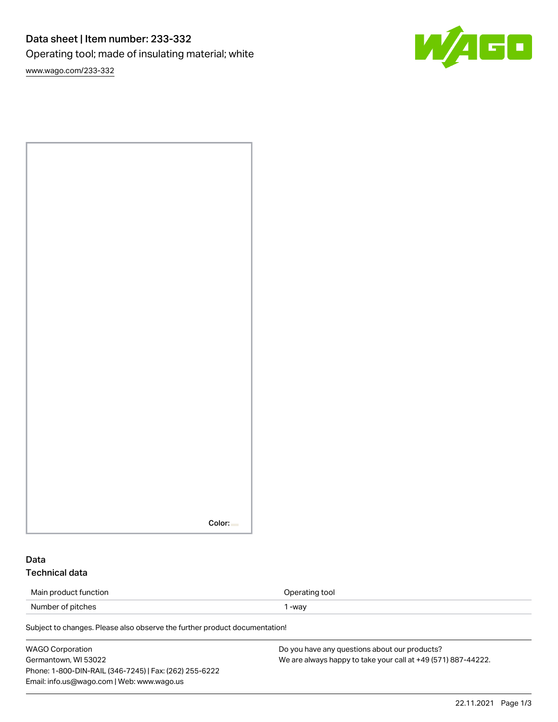# Data sheet | Item number: 233-332 Operating tool; made of insulating material; white

W/AGO

[www.wago.com/233-332](http://www.wago.com/233-332)

## Data Technical data

| Main product function | Operating tool |
|-----------------------|----------------|
| Number of pitches     | -way           |

Subject to changes. Please also observe the further product documentation!

| WAGO Corporation                                       | Do you have any questions about our products?                 |
|--------------------------------------------------------|---------------------------------------------------------------|
| Germantown, WI 53022                                   | We are always happy to take your call at +49 (571) 887-44222. |
| Phone: 1-800-DIN-RAIL (346-7245)   Fax: (262) 255-6222 |                                                               |
| Email: info.us@wago.com   Web: www.wago.us             |                                                               |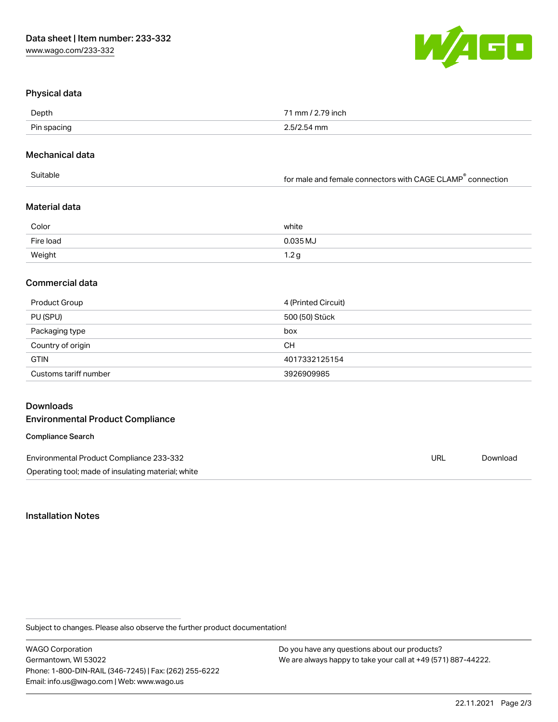

### Physical data

| <b>Denth</b><br>. | $\overline{\phantom{a}}$<br>m<br>the contract of the contract of the contract of the contract of the contract of the contract of the contract of |
|-------------------|--------------------------------------------------------------------------------------------------------------------------------------------------|
| <b>Din</b><br>. . | the contract of the contract of the contract of the contract of the contract of the contract of the contract of                                  |

#### Mechanical data

|  | Suitable | for male and female connectors with CAGE CLAMP <sup>®</sup> connection |
|--|----------|------------------------------------------------------------------------|
|--|----------|------------------------------------------------------------------------|

## Material data

| Color     | white    |
|-----------|----------|
| Fire load | 0.035 MJ |
| Weight    | 1.2g     |

## Commercial data

| Product Group         | 4 (Printed Circuit) |
|-----------------------|---------------------|
| PU (SPU)              | 500 (50) Stück      |
| Packaging type        | box                 |
| Country of origin     | <b>CH</b>           |
| <b>GTIN</b>           | 4017332125154       |
| Customs tariff number | 3926909985          |

## Downloads

### Environmental Product Compliance

#### Compliance Search

Environmental Product Compliance 233-332 Operating tool; made of insulating material; white

Installation Notes

Subject to changes. Please also observe the further product documentation!

WAGO Corporation Germantown, WI 53022 Phone: 1-800-DIN-RAIL (346-7245) | Fax: (262) 255-6222 Email: info.us@wago.com | Web: www.wago.us

Do you have any questions about our products? We are always happy to take your call at +49 (571) 887-44222.

URL [Download](https://www.wago.com/global/d/ComplianceLinkMediaContainer_233-332)